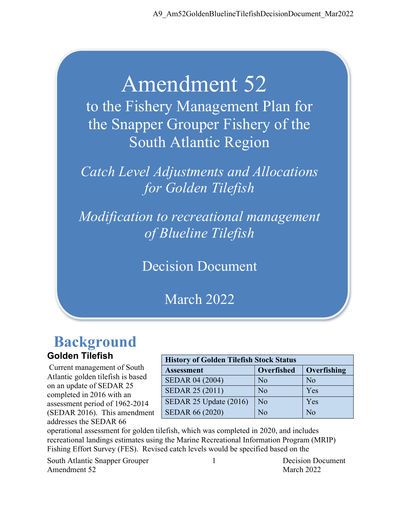# Amendment 52

to the Fishery Management Plan for the Snapper Grouper Fishery of the South Atlantic Region

*Catch Level Adjustments and Allocations for Golden Tilefish*

*Modification to recreational management of Blueline Tilefish*

Decision Document

March 2022

## **Background Golden Tilefish**

Current management of South Atlantic golden tilefish is based on an update of SEDAR 25 completed in 2016 with an assessment period of 1962-2014 (SEDAR 2016). This amendment addresses the SEDAR 66

| <b>History of Golden Tilefish Stock Status</b> |                |                |  |  |  |  |
|------------------------------------------------|----------------|----------------|--|--|--|--|
| Overfished<br>Overfishing<br><b>Assessment</b> |                |                |  |  |  |  |
| <b>SEDAR 04 (2004)</b>                         | N <sub>o</sub> | N <sub>o</sub> |  |  |  |  |
| <b>SEDAR 25 (2011)</b>                         | No             | Yes            |  |  |  |  |
| SEDAR 25 Update (2016)                         | No             | Yes            |  |  |  |  |
| <b>SEDAR 66 (2020)</b>                         | $\rm No$       | No             |  |  |  |  |

operational assessment for golden tilefish, which was completed in 2020, and includes recreational landings estimates using the Marine Recreational Information Program (MRIP) Fishing Effort Survey (FES). Revised catch levels would be specified based on the

South Atlantic Snapper Grouper 1 Decision Document Amendment 52 March 2022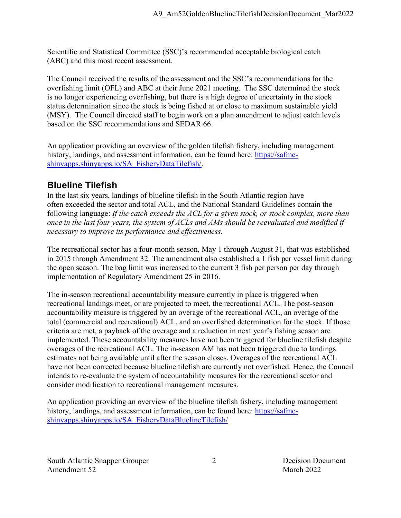Scientific and Statistical Committee (SSC)'s recommended acceptable biological catch (ABC) and this most recent assessment.

The Council received the results of the assessment and the SSC's recommendations for the overfishing limit (OFL) and ABC at their June 2021 meeting. The SSC determined the stock is no longer experiencing overfishing, but there is a high degree of uncertainty in the stock status determination since the stock is being fished at or close to maximum sustainable yield (MSY). The Council directed staff to begin work on a plan amendment to adjust catch levels based on the SSC recommendations and SEDAR 66.

An application providing an overview of the golden tilefish fishery, including management history, landings, and assessment information, can be found here: [https://safmc](https://safmc-shinyapps.shinyapps.io/SA_FisheryDataTilefish/)[shinyapps.shinyapps.io/SA\\_FisheryDataTilefish/.](https://safmc-shinyapps.shinyapps.io/SA_FisheryDataTilefish/)

## **Blueline Tilefish**

In the last six years, landings of blueline tilefish in the South Atlantic region have often exceeded the sector and total ACL, and the National Standard Guidelines contain the following language: *If the catch exceeds the ACL for a given stock, or stock complex, more than once in the last four years, the system of ACLs and AMs should be reevaluated and modified if necessary to improve its performance and effectiveness.*

The recreational sector has a four-month season, May 1 through August 31, that was established in 2015 through Amendment 32. The amendment also established a 1 fish per vessel limit during the open season. The bag limit was increased to the current 3 fish per person per day through implementation of Regulatory Amendment 25 in 2016.

The in-season recreational accountability measure currently in place is triggered when recreational landings meet, or are projected to meet, the recreational ACL. The post-season accountability measure is triggered by an overage of the recreational ACL, an overage of the total (commercial and recreational) ACL, and an overfished determination for the stock. If those criteria are met, a payback of the overage and a reduction in next year's fishing season are implemented. These accountability measures have not been triggered for blueline tilefish despite overages of the recreational ACL. The in-season AM has not been triggered due to landings estimates not being available until after the season closes. Overages of the recreational ACL have not been corrected because blueline tilefish are currently not overfished. Hence, the Council intends to re-evaluate the system of accountability measures for the recreational sector and consider modification to recreational management measures.

An application providing an overview of the blueline tilefish fishery, including management history, landings, and assessment information, can be found here: [https://safmc](https://safmc-shinyapps.shinyapps.io/SA_FisheryDataBluelineTilefish/)[shinyapps.shinyapps.io/SA\\_FisheryDataBluelineTilefish/](https://safmc-shinyapps.shinyapps.io/SA_FisheryDataBluelineTilefish/)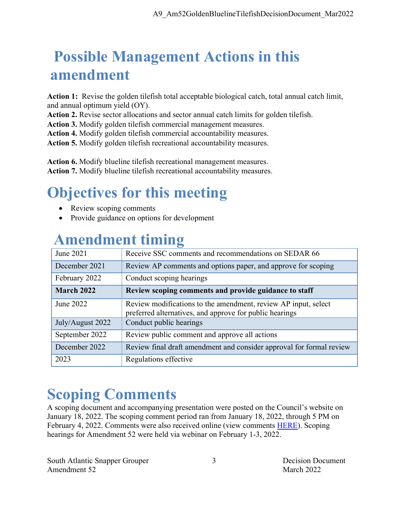## **Possible Management Actions in this amendment**

**Action 1:** Revise the golden tilefish total acceptable biological catch, total annual catch limit, and annual optimum yield (OY).

**Action 2.** Revise sector allocations and sector annual catch limits for golden tilefish.

**Action 3.** Modify golden tilefish commercial management measures.

**Action 4.** Modify golden tilefish commercial accountability measures.

**Action 5.** Modify golden tilefish recreational accountability measures.

**Action 6.** Modify blueline tilefish recreational management measures. **Action 7.** Modify blueline tilefish recreational accountability measures.

## **Objectives for this meeting**

- Review scoping comments
- Provide guidance on options for development

## **Amendment timing**

| June 2021         | Receive SSC comments and recommendations on SEDAR 66                                                                      |
|-------------------|---------------------------------------------------------------------------------------------------------------------------|
| December 2021     | Review AP comments and options paper, and approve for scoping                                                             |
| February 2022     | Conduct scoping hearings                                                                                                  |
| <b>March 2022</b> | Review scoping comments and provide guidance to staff                                                                     |
| June 2022         | Review modifications to the amendment, review AP input, select<br>preferred alternatives, and approve for public hearings |
| July/August 2022  | Conduct public hearings                                                                                                   |
| September 2022    | Review public comment and approve all actions                                                                             |
| December 2022     | Review final draft amendment and consider approval for formal review                                                      |
| 2023              | Regulations effective                                                                                                     |

## **Scoping Comments**

A scoping document and accompanying presentation were posted on the Council's website on January 18, 2022. The scoping comment period ran from January 18, 2022, through 5 PM on February 4, 2022. Comments were also received online (view comments [HERE\)](https://safmc.wufoo.com/reports/snapper-grouper-amendment-52-comment-report/). Scoping hearings for Amendment 52 were held via webinar on February 1-3, 2022.

South Atlantic Snapper Grouper 3 Decision Document Amendment 52 March 2022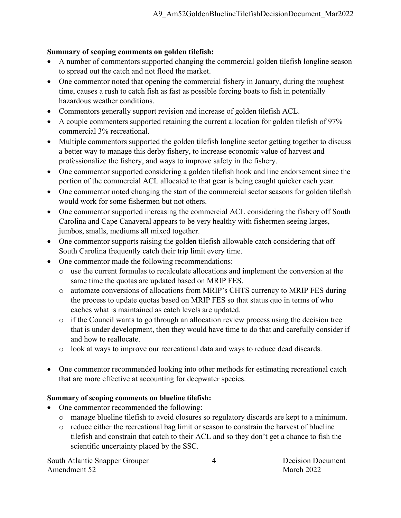#### **Summary of scoping comments on golden tilefish:**

- A number of commentors supported changing the commercial golden tilefish longline season to spread out the catch and not flood the market.
- One commentor noted that opening the commercial fishery in January, during the roughest time, causes a rush to catch fish as fast as possible forcing boats to fish in potentially hazardous weather conditions.
- Commentors generally support revision and increase of golden tilefish ACL.
- A couple commenters supported retaining the current allocation for golden tilefish of 97% commercial 3% recreational.
- Multiple commentors supported the golden tilefish longline sector getting together to discuss a better way to manage this derby fishery, to increase economic value of harvest and professionalize the fishery, and ways to improve safety in the fishery.
- One commentor supported considering a golden tilefish hook and line endorsement since the portion of the commercial ACL allocated to that gear is being caught quicker each year.
- One commentor noted changing the start of the commercial sector seasons for golden tilefish would work for some fishermen but not others.
- One commentor supported increasing the commercial ACL considering the fishery off South Carolina and Cape Canaveral appears to be very healthy with fishermen seeing larges, jumbos, smalls, mediums all mixed together.
- One commentor supports raising the golden tilefish allowable catch considering that off South Carolina frequently catch their trip limit every time.
- One commentor made the following recommendations:
	- o use the current formulas to recalculate allocations and implement the conversion at the same time the quotas are updated based on MRIP FES.
	- o automate conversions of allocations from MRIP's CHTS currency to MRIP FES during the process to update quotas based on MRIP FES so that status quo in terms of who caches what is maintained as catch levels are updated.
	- o if the Council wants to go through an allocation review process using the decision tree that is under development, then they would have time to do that and carefully consider if and how to reallocate.
	- o look at ways to improve our recreational data and ways to reduce dead discards.
- One commentor recommended looking into other methods for estimating recreational catch that are more effective at accounting for deepwater species.

#### **Summary of scoping comments on blueline tilefish:**

- One commentor recommended the following:
	- o manage blueline tilefish to avoid closures so regulatory discards are kept to a minimum.
	- o reduce either the recreational bag limit or season to constrain the harvest of blueline tilefish and constrain that catch to their ACL and so they don't get a chance to fish the scientific uncertainty placed by the SSC.

South Atlantic Snapper Grouper 4 1999 Decision Document Amendment 52 March 2022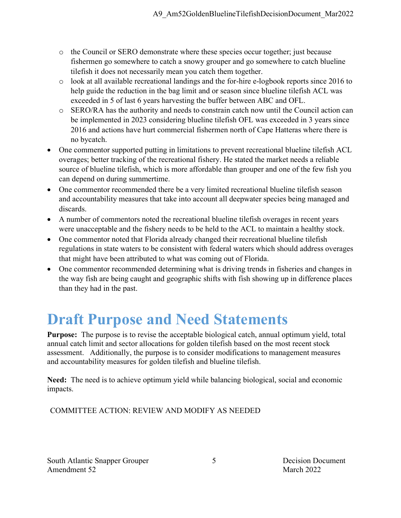- o the Council or SERO demonstrate where these species occur together; just because fishermen go somewhere to catch a snowy grouper and go somewhere to catch blueline tilefish it does not necessarily mean you catch them together.
- o look at all available recreational landings and the for-hire e-logbook reports since 2016 to help guide the reduction in the bag limit and or season since blueline tilefish ACL was exceeded in 5 of last 6 years harvesting the buffer between ABC and OFL.
- o SERO/RA has the authority and needs to constrain catch now until the Council action can be implemented in 2023 considering blueline tilefish OFL was exceeded in 3 years since 2016 and actions have hurt commercial fishermen north of Cape Hatteras where there is no bycatch.
- One commentor supported putting in limitations to prevent recreational blueline tilefish ACL overages; better tracking of the recreational fishery. He stated the market needs a reliable source of blueline tilefish, which is more affordable than grouper and one of the few fish you can depend on during summertime.
- One commentor recommended there be a very limited recreational blueline tilefish season and accountability measures that take into account all deepwater species being managed and discards.
- A number of commentors noted the recreational blueline tilefish overages in recent years were unacceptable and the fishery needs to be held to the ACL to maintain a healthy stock.
- One commentor noted that Florida already changed their recreational blueline tilefish regulations in state waters to be consistent with federal waters which should address overages that might have been attributed to what was coming out of Florida.
- One commentor recommended determining what is driving trends in fisheries and changes in the way fish are being caught and geographic shifts with fish showing up in difference places than they had in the past.

## **Draft Purpose and Need Statements**

**Purpose:** The purpose is to revise the acceptable biological catch, annual optimum yield, total annual catch limit and sector allocations for golden tilefish based on the most recent stock assessment. Additionally, the purpose is to consider modifications to management measures and accountability measures for golden tilefish and blueline tilefish.

**Need:** The need is to achieve optimum yield while balancing biological, social and economic impacts.

COMMITTEE ACTION: REVIEW AND MODIFY AS NEEDED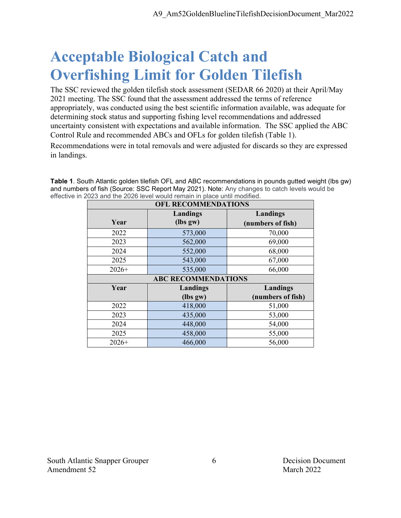## **Acceptable Biological Catch and Overfishing Limit for Golden Tilefish**

The SSC reviewed the golden tilefish stock assessment (SEDAR 66 2020) at their April/May 2021 meeting. The SSC found that the assessment addressed the terms of reference appropriately, was conducted using the best scientific information available, was adequate for determining stock status and supporting fishing level recommendations and addressed uncertainty consistent with expectations and available information. The SSC applied the ABC Control Rule and recommended ABCs and OFLs for golden tilefish (Table 1).

Recommendations were in total removals and were adjusted for discards so they are expressed in landings.

**Table 1**. South Atlantic golden tilefish OFL and ABC recommendations in pounds gutted weight (lbs gw) and numbers of fish (Source: SSC Report May 2021). Note: Any changes to catch levels would be effective in 2023 and the 2026 level would remain in place until modified.

| <b>OFL RECOMMENDATIONS</b> |                            |                   |  |  |  |
|----------------------------|----------------------------|-------------------|--|--|--|
|                            | Landings                   | Landings          |  |  |  |
| Year                       | (lbs gw)                   | (numbers of fish) |  |  |  |
| 2022                       | 573,000                    | 70,000            |  |  |  |
| 2023                       | 562,000                    | 69,000            |  |  |  |
| 2024                       | 552,000                    | 68,000            |  |  |  |
| 2025                       | 543,000                    | 67,000            |  |  |  |
| $2026+$                    | 535,000                    | 66,000            |  |  |  |
|                            | <b>ABC RECOMMENDATIONS</b> |                   |  |  |  |
| Year                       | Landings                   | Landings          |  |  |  |
|                            | (lbs gw)                   | (numbers of fish) |  |  |  |
| 2022                       | 418,000                    | 51,000            |  |  |  |
| 2023                       | 435,000                    | 53,000            |  |  |  |
| 2024                       | 448,000                    | 54,000            |  |  |  |
| 2025                       | 458,000                    | 55,000            |  |  |  |
| $2026+$                    | 466,000                    | 56,000            |  |  |  |

South Atlantic Snapper Grouper 6 6 Decision Document Amendment 52 March 2022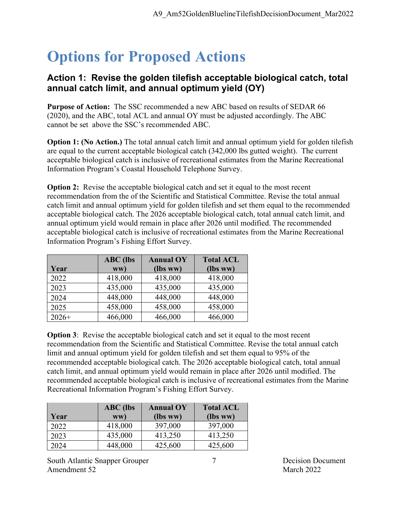## **Options for Proposed Actions**

### **Action 1: Revise the golden tilefish acceptable biological catch, total annual catch limit, and annual optimum yield (OY)**

**Purpose of Action:** The SSC recommended a new ABC based on results of SEDAR 66 (2020), and the ABC, total ACL and annual OY must be adjusted accordingly. The ABC cannot be set above the SSC's recommended ABC.

**Option 1:** (No Action.) The total annual catch limit and annual optimum yield for golden tilefish are equal to the current acceptable biological catch (342,000 lbs gutted weight). The current acceptable biological catch is inclusive of recreational estimates from the Marine Recreational Information Program's Coastal Household Telephone Survey.

**Option 2:** Revise the acceptable biological catch and set it equal to the most recent recommendation from the of the Scientific and Statistical Committee. Revise the total annual catch limit and annual optimum yield for golden tilefish and set them equal to the recommended acceptable biological catch. The 2026 acceptable biological catch, total annual catch limit, and annual optimum yield would remain in place after 2026 until modified. The recommended acceptable biological catch is inclusive of recreational estimates from the Marine Recreational Information Program's Fishing Effort Survey.

|         | <b>ABC</b> (lbs | <b>Annual OY</b> | <b>Total ACL</b> |
|---------|-----------------|------------------|------------------|
| Year    | ww)             | (lbs ww)         | (lbs ww)         |
| 2022    | 418,000         | 418,000          | 418,000          |
| 2023    | 435,000         | 435,000          | 435,000          |
| 2024    | 448,000         | 448,000          | 448,000          |
| 2025    | 458,000         | 458,000          | 458,000          |
| $2026+$ | 466,000         | 466,000          | 466,000          |

**Option 3:** Revise the acceptable biological catch and set it equal to the most recent recommendation from the Scientific and Statistical Committee. Revise the total annual catch limit and annual optimum yield for golden tilefish and set them equal to 95% of the recommended acceptable biological catch. The 2026 acceptable biological catch, total annual catch limit, and annual optimum yield would remain in place after 2026 until modified. The recommended acceptable biological catch is inclusive of recreational estimates from the Marine Recreational Information Program's Fishing Effort Survey.

| Year | $ABC$ (lbs<br>ww) | <b>Annual OY</b><br>(lbs ww) | <b>Total ACL</b><br>(lbs ww) |
|------|-------------------|------------------------------|------------------------------|
| 2022 | 418,000           | 397,000                      | 397,000                      |
| 2023 | 435,000           | 413,250                      | 413,250                      |
| 2024 | 448,000           | 425,600                      | 425,600                      |

South Atlantic Snapper Grouper 7 2008 7 Decision Document Amendment 52 March 2022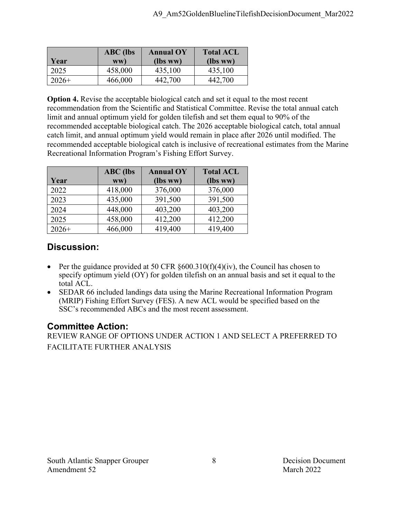| Year    | $ABC$ (lbs<br>WW) | <b>Annual OY</b><br>(lbs ww) | <b>Total ACL</b><br>(lbs ww) |
|---------|-------------------|------------------------------|------------------------------|
| 2025    | 458,000           | 435,100                      | 435,100                      |
| $2026+$ | 466,000           | 442,700                      | 442,700                      |

**Option 4.** Revise the acceptable biological catch and set it equal to the most recent recommendation from the Scientific and Statistical Committee. Revise the total annual catch limit and annual optimum yield for golden tilefish and set them equal to 90% of the recommended acceptable biological catch. The 2026 acceptable biological catch, total annual catch limit, and annual optimum yield would remain in place after 2026 until modified. The recommended acceptable biological catch is inclusive of recreational estimates from the Marine Recreational Information Program's Fishing Effort Survey.

|         | <b>ABC</b> (lbs | <b>Annual OY</b> | <b>Total ACL</b> |
|---------|-----------------|------------------|------------------|
| Year    | ww)             | (lbs ww)         | (lbs ww)         |
| 2022    | 418,000         | 376,000          | 376,000          |
| 2023    | 435,000         | 391,500          | 391,500          |
| 2024    | 448,000         | 403,200          | 403,200          |
| 2025    | 458,000         | 412,200          | 412,200          |
| $2026+$ | 466,000         | 419,400          | 419,400          |

## **Discussion:**

- Per the guidance provided at 50 CFR  $\S 600.310(f)(4)(iv)$ , the Council has chosen to specify optimum yield (OY) for golden tilefish on an annual basis and set it equal to the total ACL.
- SEDAR 66 included landings data using the Marine Recreational Information Program (MRIP) Fishing Effort Survey (FES). A new ACL would be specified based on the SSC's recommended ABCs and the most recent assessment.

## **Committee Action:**

REVIEW RANGE OF OPTIONS UNDER ACTION 1 AND SELECT A PREFERRED TO FACILITATE FURTHER ANALYSIS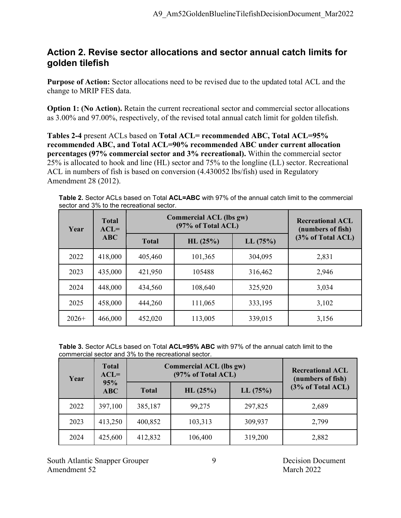### **Action 2. Revise sector allocations and sector annual catch limits for golden tilefish**

**Purpose of Action:** Sector allocations need to be revised due to the updated total ACL and the change to MRIP FES data.

**Option 1: (No Action).** Retain the current recreational sector and commercial sector allocations as 3.00% and 97.00%, respectively, of the revised total annual catch limit for golden tilefish.

**Tables 2-4** present ACLs based on **Total ACL= recommended ABC, Total ACL=95% recommended ABC, and Total ACL=90% recommended ABC under current allocation percentages (97% commercial sector and 3% recreational).** Within the commercial sector 25% is allocated to hook and line (HL) sector and 75% to the longline (LL) sector. Recreational ACL in numbers of fish is based on conversion (4.430052 lbs/fish) used in Regulatory Amendment 28 (2012).

| Year    | <b>Total</b><br>$ACL=$ | <b>Commercial ACL (lbs gw)</b> | <b>Recreational ACL</b><br>(numbers of fish) |         |                   |
|---------|------------------------|--------------------------------|----------------------------------------------|---------|-------------------|
|         | <b>ABC</b>             | <b>Total</b>                   | HL(25%)                                      | LL(75%) | (3% of Total ACL) |
| 2022    | 418,000                | 405,460                        | 101,365                                      | 304,095 | 2,831             |
| 2023    | 435,000                | 421,950                        | 105488                                       | 316,462 | 2,946             |
| 2024    | 448,000                | 434,560                        | 108,640                                      | 325,920 | 3,034             |
| 2025    | 458,000                | 444,260                        | 111,065                                      | 333,195 | 3,102             |
| $2026+$ | 466,000                | 452,020                        | 113,005                                      | 339,015 | 3,156             |

**Table 2.** Sector ACLs based on Total **ACL=ABC** with 97% of the annual catch limit to the commercial sector and 3% to the recreational sector.

**Table 3.** Sector ACLs based on Total **ACL=95% ABC** with 97% of the annual catch limit to the commercial sector and 3% to the recreational sector.

| Year | <b>Total</b><br>$ACL =$ |              | <b>Commercial ACL (lbs gw)</b><br>(97% of Total ACL) | <b>Recreational ACL</b><br>(numbers of fish) |                   |
|------|-------------------------|--------------|------------------------------------------------------|----------------------------------------------|-------------------|
|      | 95%<br><b>ABC</b>       | <b>Total</b> | HL(25%)                                              | LL(75%)                                      | (3% of Total ACL) |
| 2022 | 397,100                 | 385,187      | 99,275                                               | 297,825                                      | 2,689             |
| 2023 | 413,250                 | 400,852      | 103,313                                              | 309,937                                      | 2,799             |
| 2024 | 425,600                 | 412,832      | 106,400                                              | 319,200                                      | 2,882             |

South Atlantic Snapper Grouper 9 9 Decision Document Amendment 52 March 2022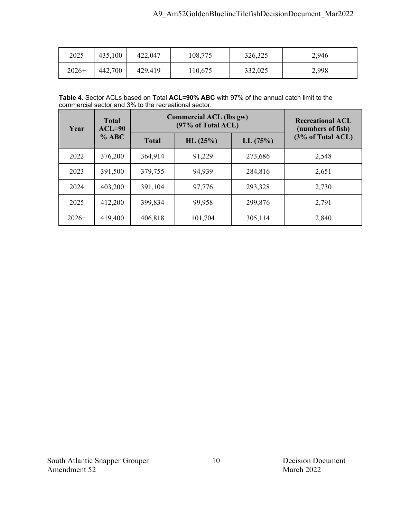| 2025    | 435,100 | 422,047 | 108,775 | 326,325 | 2,946 |
|---------|---------|---------|---------|---------|-------|
| $2026+$ | 442,700 | 429,419 | 110,675 | 332,025 | 2,998 |

**Table 4.** Sector ACLs based on Total **ACL=90% ABC** with 97% of the annual catch limit to the commercial sector and 3% to the recreational sector.

| Year    | <b>Total</b><br>$ACL=90$ | <b>Commercial ACL (lbs gw)</b><br>(97% of Total ACL) |         |         | <b>Recreational ACL</b><br>(numbers of fish) |
|---------|--------------------------|------------------------------------------------------|---------|---------|----------------------------------------------|
|         | % ABC                    | <b>Total</b>                                         | HL(25%) | LL(75%) | (3% of Total ACL)                            |
| 2022    | 376,200                  | 364,914                                              | 91,229  | 273,686 | 2,548                                        |
| 2023    | 391,500                  | 379,755                                              | 94,939  | 284,816 | 2,651                                        |
| 2024    | 403,200                  | 391,104                                              | 97,776  | 293,328 | 2,730                                        |
| 2025    | 412,200                  | 399,834                                              | 99,958  | 299,876 | 2,791                                        |
| $2026+$ | 419,400                  | 406,818                                              | 101,704 | 305,114 | 2,840                                        |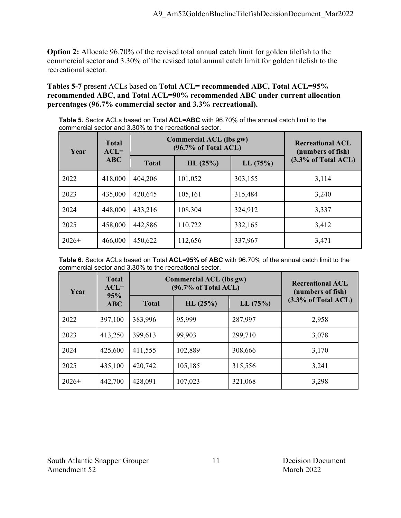**Option 2:** Allocate 96.70% of the revised total annual catch limit for golden tilefish to the commercial sector and 3.30% of the revised total annual catch limit for golden tilefish to the recreational sector.

**Tables 5-7** present ACLs based on **Total ACL= recommended ABC, Total ACL=95% recommended ABC, and Total ACL=90% recommended ABC under current allocation percentages (96.7% commercial sector and 3.3% recreational).**

**Table 5.** Sector ACLs based on Total **ACL=ABC** with 96.70% of the annual catch limit to the commercial sector and 3.30% to the recreational sector.

| <b>Total</b><br>$ACL=$<br>Year |         | <b>Commercial ACL (lbs gw)</b><br>$(96.7\% \text{ of Total ACL})$ |         |         | <b>Recreational ACL</b><br>(numbers of fish) |
|--------------------------------|---------|-------------------------------------------------------------------|---------|---------|----------------------------------------------|
|                                | ABC     | <b>Total</b>                                                      | HL(25%) | LL(75%) | $(3.3\%$ of Total ACL)                       |
| 2022                           | 418,000 | 404,206                                                           | 101,052 | 303,155 | 3,114                                        |
| 2023                           | 435,000 | 420,645                                                           | 105,161 | 315,484 | 3,240                                        |
| 2024                           | 448,000 | 433,216                                                           | 108,304 | 324,912 | 3,337                                        |
| 2025                           | 458,000 | 442,886                                                           | 110,722 | 332,165 | 3,412                                        |
| $2026+$                        | 466,000 | 450,622                                                           | 112,656 | 337,967 | 3,471                                        |

**Table 6.** Sector ACLs based on Total **ACL=95% of ABC** with 96.70% of the annual catch limit to the commercial sector and 3.30% to the recreational sector.

| Year    | <b>Total</b><br>$ACL =$<br>95% |              | <b>Commercial ACL (lbs gw)</b><br>$(96.7\% \text{ of Total ACL})$ | <b>Recreational ACL</b><br>(numbers of fish) |                        |
|---------|--------------------------------|--------------|-------------------------------------------------------------------|----------------------------------------------|------------------------|
|         | ABC                            | <b>Total</b> | HL(25%)                                                           | LL(75%)                                      | $(3.3\%$ of Total ACL) |
| 2022    | 397,100                        | 383,996      | 95,999                                                            | 287,997                                      | 2,958                  |
| 2023    | 413,250                        | 399,613      | 99,903                                                            | 299,710                                      | 3,078                  |
| 2024    | 425,600                        | 411,555      | 102,889                                                           | 308,666                                      | 3,170                  |
| 2025    | 435,100                        | 420,742      | 105,185                                                           | 315,556                                      | 3,241                  |
| $2026+$ | 442,700                        | 428,091      | 107,023                                                           | 321,068                                      | 3,298                  |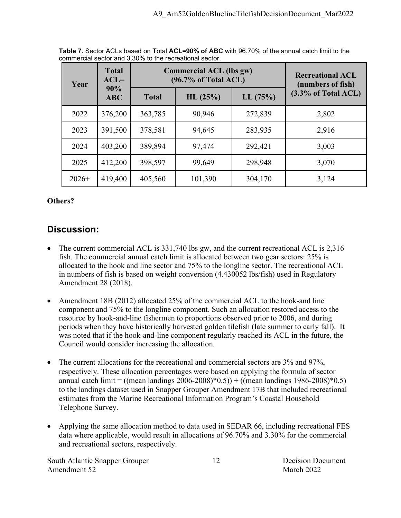| Year    | <b>Total</b><br>$ACL =$ |              | <b>Commercial ACL (lbs gw)</b><br>$(96.7\% \text{ of Total ACL})$ | <b>Recreational ACL</b><br>(numbers of fish) |                        |  |
|---------|-------------------------|--------------|-------------------------------------------------------------------|----------------------------------------------|------------------------|--|
|         | 90%<br><b>ABC</b>       | <b>Total</b> | LL(75%)<br>HL(25%)                                                |                                              | $(3.3\%$ of Total ACL) |  |
| 2022    | 376,200                 | 363,785      | 90,946                                                            | 272,839                                      | 2,802                  |  |
| 2023    | 391,500                 | 378,581      | 94,645                                                            | 283,935                                      | 2,916                  |  |
| 2024    | 403,200                 | 389,894      | 97,474                                                            | 292,421                                      | 3,003                  |  |
| 2025    | 412,200                 | 398,597      | 99,649                                                            | 298,948                                      | 3,070                  |  |
| $2026+$ | 419,400                 | 405,560      | 101,390                                                           | 304,170                                      | 3,124                  |  |

**Table 7.** Sector ACLs based on Total **ACL=90% of ABC** with 96.70% of the annual catch limit to the commercial sector and 3.30% to the recreational sector.

#### **Others?**

## **Discussion:**

- The current commercial ACL is 331,740 lbs gw, and the current recreational ACL is 2,316 fish. The commercial annual catch limit is allocated between two gear sectors: 25% is allocated to the hook and line sector and 75% to the longline sector. The recreational ACL in numbers of fish is based on weight conversion (4.430052 lbs/fish) used in Regulatory Amendment 28 (2018).
- Amendment 18B (2012) allocated 25% of the commercial ACL to the hook-and line component and 75% to the longline component. Such an allocation restored access to the resource by hook-and-line fishermen to proportions observed prior to 2006, and during periods when they have historically harvested golden tilefish (late summer to early fall). It was noted that if the hook-and-line component regularly reached its ACL in the future, the Council would consider increasing the allocation.
- The current allocations for the recreational and commercial sectors are  $3\%$  and  $97\%$ , respectively. These allocation percentages were based on applying the formula of sector annual catch limit = ((mean landings  $2006-2008$ )\* $0.5$ )) + ((mean landings 1986-2008)\* $0.5$ ) to the landings dataset used in Snapper Grouper Amendment 17B that included recreational estimates from the Marine Recreational Information Program's Coastal Household Telephone Survey.
- Applying the same allocation method to data used in SEDAR 66, including recreational FES data where applicable, would result in allocations of 96.70% and 3.30% for the commercial and recreational sectors, respectively.

South Atlantic Snapper Grouper 12 Decision Document Amendment 52 March 2022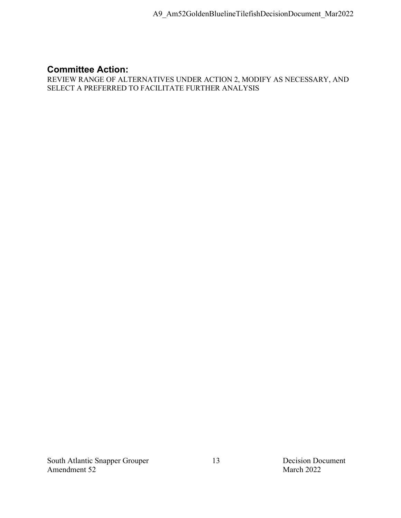### **Committee Action:**

REVIEW RANGE OF ALTERNATIVES UNDER ACTION 2, MODIFY AS NECESSARY, AND SELECT A PREFERRED TO FACILITATE FURTHER ANALYSIS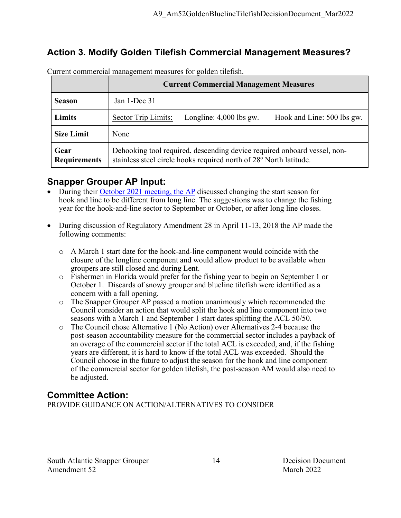## **Action 3. Modify Golden Tilefish Commercial Management Measures?**

|                             | <b>Current Commercial Management Measures</b>                                                                                                  |  |  |  |  |  |  |
|-----------------------------|------------------------------------------------------------------------------------------------------------------------------------------------|--|--|--|--|--|--|
| <b>Season</b>               | Jan 1-Dec 31                                                                                                                                   |  |  |  |  |  |  |
| Limits                      | <b>Sector Trip Limits:</b><br>Longline: $4,000$ lbs gw.<br>Hook and Line: 500 lbs gw.                                                          |  |  |  |  |  |  |
| <b>Size Limit</b>           | None                                                                                                                                           |  |  |  |  |  |  |
| Gear<br><b>Requirements</b> | Dehooking tool required, descending device required onboard vessel, non-<br>stainless steel circle hooks required north of 28° North latitude. |  |  |  |  |  |  |

Current commercial management measures for golden tilefish.

### **Snapper Grouper AP Input:**

- During their [October 2021 meeting,](https://safmc.net/download/BB%20Council%20Dec%202021/Snapper%20Grouper/SGAP_SummaryReport_Oct2021.pdf) the AP discussed changing the start season for hook and line to be different from long line. The suggestions was to change the fishing year for the hook-and-line sector to September or October, or after long line closes.
- During discussion of Regulatory Amendment 28 in April 11-13, 2018 the AP made the following comments:
	- $\circ$  A March 1 start date for the hook-and-line component would coincide with the closure of the longline component and would allow product to be available when groupers are still closed and during Lent.
	- o Fishermen in Florida would prefer for the fishing year to begin on September 1 or October 1. Discards of snowy grouper and blueline tilefish were identified as a concern with a fall opening.
	- o The Snapper Grouper AP passed a motion unanimously which recommended the Council consider an action that would split the hook and line component into two seasons with a March 1 and September 1 start dates splitting the ACL 50/50.
	- o The Council chose Alternative 1 (No Action) over Alternatives 2-4 because the post-season accountability measure for the commercial sector includes a payback of an overage of the commercial sector if the total ACL is exceeded, and, if the fishing years are different, it is hard to know if the total ACL was exceeded. Should the Council choose in the future to adjust the season for the hook and line component of the commercial sector for golden tilefish, the post-season AM would also need to be adjusted.

## **Committee Action:**

PROVIDE GUIDANCE ON ACTION/ALTERNATIVES TO CONSIDER

South Atlantic Snapper Grouper 14 Decision Document Amendment 52 March 2022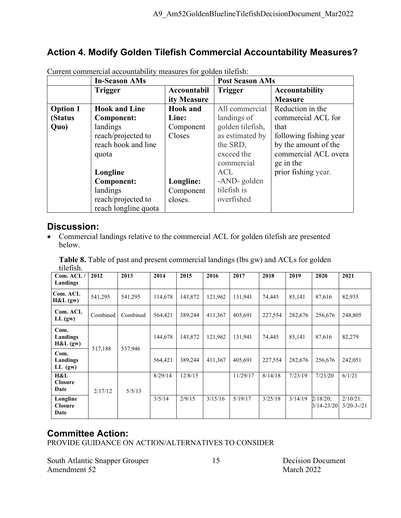## **Action 4. Modify Golden Tilefish Commercial Accountability Measures?**

|                 | <b>In-Season AMs</b> |                 | <b>Post Season AMs</b> |                        |
|-----------------|----------------------|-----------------|------------------------|------------------------|
|                 | <b>Trigger</b>       | Accountabil     | <b>Trigger</b>         | Accountability         |
|                 |                      | ity Measure     |                        | <b>Measure</b>         |
| <b>Option 1</b> | <b>Hook and Line</b> | <b>Hook</b> and | All commercial         | Reduction in the       |
| (Status         | <b>Component:</b>    | Line:           | landings of            | commercial ACL for     |
| Quo)            | landings             | Component       | golden tilefish,       | that                   |
|                 | reach/projected to   | Closes          | as estimated by        | following fishing year |
|                 | reach hook and line  |                 | the SRD,               | by the amount of the   |
|                 | quota                |                 | exceed the             | commercial ACL overa   |
|                 |                      |                 | commercial             | ge in the              |
|                 | Longline             |                 | <b>ACL</b>             | prior fishing year.    |
|                 | <b>Component:</b>    | Longline:       | -AND-golden            |                        |
|                 | landings             | Component       | tilefish is            |                        |
|                 | reach/projected to   | closes.         | overfished             |                        |
|                 | reach longline quota |                 |                        |                        |

Current commercial accountability measures for golden tilefish:

#### **Discussion:**

• Commercial landings relative to the commercial ACL for golden tilefish are presented below.

Table 8. Table of past and present commercial landings (lbs gw) and ACLs for golden tilefish.

| <br>Com. ACL/                      | 2012     | 2013     | 2014    | 2015    | 2016    | 2017     | 2018    | 2019    | 2020                      | 2021                           |
|------------------------------------|----------|----------|---------|---------|---------|----------|---------|---------|---------------------------|--------------------------------|
| Landings                           |          |          |         |         |         |          |         |         |                           |                                |
| Com. ACL<br>H&L(gw)                | 541,295  | 541,295  | 114,678 | 143,872 | 121,962 | 131,941  | 74,445  | 85,141  | 87,616                    | 82,935                         |
| Com. ACL<br>LL (gw)                | Combined | Combined | 564,421 | 389,244 | 411,367 | 405,691  | 227,554 | 282,676 | 256,676                   | 248,805                        |
| Com.<br>Landings<br>H&L(gw)        | 517,188  | 537,946  | 144,678 | 143,872 | 121,962 | 131,941  | 74,445  | 85,141  | 87,616                    | 82,279                         |
| Com.<br>Landings<br>$LL$ (gw)      |          |          | 564,421 | 389,244 | 411,367 | 405,691  | 227,554 | 282,676 | 256,676                   | 242,051                        |
| H&L<br><b>Closure</b><br>Date      | 2/17/12  | 5/5/13   | 8/29/14 | 12/8/15 |         | 11/29/17 | 8/14/18 | 7/23/19 | 7/23/20                   | 6/1/21                         |
| Longline<br><b>Closure</b><br>Date |          |          | 3/5/14  | 2/9/15  | 3/15/16 | 5/19/17  | 3/25/18 | 3/14/19 | $2/18/20$ ;<br>3/14-23/20 | $2/10/21$ :<br>$3/20 - 3 - 21$ |

#### **Committee Action:**

PROVIDE GUIDANCE ON ACTION/ALTERNATIVES TO CONSIDER

South Atlantic Snapper Grouper 15 Decision Document Amendment 52 March 2022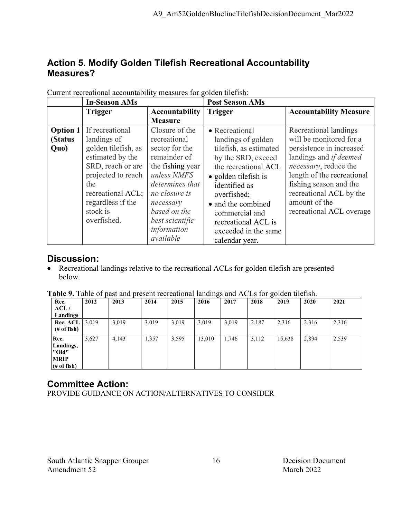### **Action 5. Modify Golden Tilefish Recreational Accountability Measures?**

|                                    | <b>In-Season AMs</b>                                                                                                                                                                             |                                                                                                                                                                                                                     | <b>Post Season AMs</b>                                                                                                                                                                                                                                                                |                                                                                                                                                                                                                                                                 |
|------------------------------------|--------------------------------------------------------------------------------------------------------------------------------------------------------------------------------------------------|---------------------------------------------------------------------------------------------------------------------------------------------------------------------------------------------------------------------|---------------------------------------------------------------------------------------------------------------------------------------------------------------------------------------------------------------------------------------------------------------------------------------|-----------------------------------------------------------------------------------------------------------------------------------------------------------------------------------------------------------------------------------------------------------------|
|                                    | <b>Trigger</b>                                                                                                                                                                                   | <b>Accountability</b><br><b>Measure</b>                                                                                                                                                                             | <b>Trigger</b>                                                                                                                                                                                                                                                                        | <b>Accountability Measure</b>                                                                                                                                                                                                                                   |
| <b>Option 1</b><br>(Status<br>Quo) | If recreational<br>landings of<br>golden tilefish, as<br>estimated by the<br>SRD, reach or are<br>projected to reach<br>the<br>recreational ACL;<br>regardless if the<br>stock is<br>overfished. | Closure of the<br>recreational<br>sector for the<br>remainder of<br>the fishing year<br>unless NMFS<br>determines that<br>no closure is<br>necessary<br>based on the<br>best scientific<br>information<br>available | • Recreational<br>landings of golden<br>tilefish, as estimated<br>by the SRD, exceed<br>the recreational ACL<br>$\bullet$ golden tilefish is<br>identified as<br>overfished;<br>• and the combined<br>commercial and<br>recreational ACL is<br>exceeded in the same<br>calendar year. | Recreational landings<br>will be monitored for a<br>persistence in increased<br>landings and if deemed<br>necessary, reduce the<br>length of the recreational<br>fishing season and the<br>recreational ACL by the<br>amount of the<br>recreational ACL overage |

Current recreational accountability measures for golden tilefish:

#### **Discussion:**

• Recreational landings relative to the recreational ACLs for golden tilefish are presented below.

|  |  |  | <b>Table 9.</b> Table of past and present recreational landings and ACLs for golden tilefish. |  |  |  |
|--|--|--|-----------------------------------------------------------------------------------------------|--|--|--|
|--|--|--|-----------------------------------------------------------------------------------------------|--|--|--|

| Rec.                                                      | 2012  | 2013  | 2014  | 2015  | 2016   | 2017  | 2018  | 2019   | 2020  | 2021  |
|-----------------------------------------------------------|-------|-------|-------|-------|--------|-------|-------|--------|-------|-------|
| ACL/                                                      |       |       |       |       |        |       |       |        |       |       |
| Landings                                                  |       |       |       |       |        |       |       |        |       |       |
| Rec. ACL                                                  | 3,019 | 3,019 | 3,019 | 3,019 | 3,019  | 3,019 | 2,187 | 2,316  | 2,316 | 2,316 |
| $#$ of fish)                                              |       |       |       |       |        |       |       |        |       |       |
| Rec.<br>Landings,<br>"Old"<br><b>MRIP</b><br>$#$ of fish) | 3,627 | 4,143 | 1,357 | 3,595 | 13,010 | 1,746 | 3,112 | 15,638 | 2,894 | 2,539 |

## **Committee Action:**

PROVIDE GUIDANCE ON ACTION/ALTERNATIVES TO CONSIDER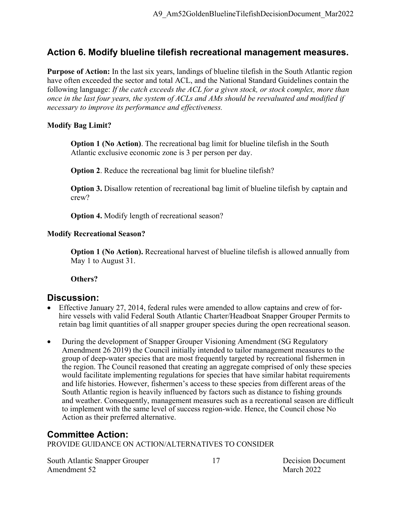#### **Action 6. Modify blueline tilefish recreational management measures.**

**Purpose of Action:** In the last six years, landings of blueline tilefish in the South Atlantic region have often exceeded the sector and total ACL, and the National Standard Guidelines contain the following language: *If the catch exceeds the ACL for a given stock, or stock complex, more than once in the last four years, the system of ACLs and AMs should be reevaluated and modified if necessary to improve its performance and effectiveness.*

#### **Modify Bag Limit?**

**Option 1 (No Action)**. The recreational bag limit for blueline tilefish in the South Atlantic exclusive economic zone is 3 per person per day.

**Option 2**. Reduce the recreational bag limit for blueline tilefish?

**Option 3.** Disallow retention of recreational bag limit of blueline tilefish by captain and crew?

**Option 4.** Modify length of recreational season?

#### **Modify Recreational Season?**

**Option 1 (No Action).** Recreational harvest of blueline tilefish is allowed annually from May 1 to August 31.

#### **Others?**

#### **Discussion:**

- Effective January 27, 2014, federal rules were amended to allow captains and crew of forhire vessels with valid Federal South Atlantic Charter/Headboat Snapper Grouper Permits to retain bag limit quantities of all snapper grouper species during the open recreational season.
- During the development of Snapper Grouper Visioning Amendment (SG Regulatory Amendment 26 2019) the Council initially intended to tailor management measures to the group of deep-water species that are most frequently targeted by recreational fishermen in the region. The Council reasoned that creating an aggregate comprised of only these species would facilitate implementing regulations for species that have similar habitat requirements and life histories. However, fishermen's access to these species from different areas of the South Atlantic region is heavily influenced by factors such as distance to fishing grounds and weather. Consequently, management measures such as a recreational season are difficult to implement with the same level of success region-wide. Hence, the Council chose No Action as their preferred alternative.

#### **Committee Action:**

PROVIDE GUIDANCE ON ACTION/ALTERNATIVES TO CONSIDER

South Atlantic Snapper Grouper 17 17 Decision Document Amendment 52 March 2022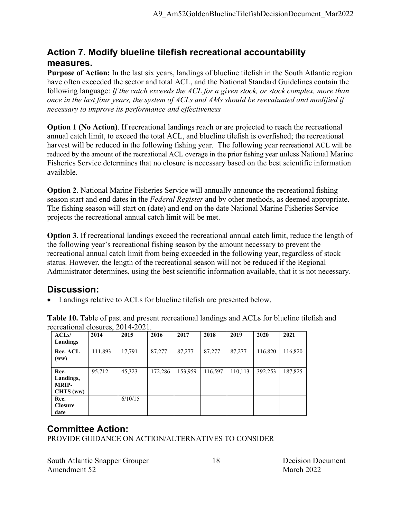## **Action 7. Modify blueline tilefish recreational accountability measures.**

**Purpose of Action:** In the last six years, landings of blueline tilefish in the South Atlantic region have often exceeded the sector and total ACL, and the National Standard Guidelines contain the following language: *If the catch exceeds the ACL for a given stock, or stock complex, more than once in the last four years, the system of ACLs and AMs should be reevaluated and modified if necessary to improve its performance and effectiveness*

**Option 1 (No Action).** If recreational landings reach or are projected to reach the recreational annual catch limit, to exceed the total ACL, and blueline tilefish is overfished; the recreational harvest will be reduced in the following fishing year. The following year recreational ACL will be reduced by the amount of the recreational ACL overage in the prior fishing year unless National Marine Fisheries Service determines that no closure is necessary based on the best scientific information available.

**Option 2**. National Marine Fisheries Service will annually announce the recreational fishing season start and end dates in the *Federal Register* and by other methods, as deemed appropriate. The fishing season will start on (date) and end on the date National Marine Fisheries Service projects the recreational annual catch limit will be met.

**Option 3**. If recreational landings exceed the recreational annual catch limit, reduce the length of the following year's recreational fishing season by the amount necessary to prevent the recreational annual catch limit from being exceeded in the following year, regardless of stock status. However, the length of the recreational season will not be reduced if the Regional Administrator determines, using the best scientific information available, that it is not necessary.

#### **Discussion:**

• Landings relative to ACLs for blueline tilefish are presented below.

| ACLs/                                          | 2014    | 2015    | 2016    | 2017    | 2018    | 2019    | 2020    | 2021    |
|------------------------------------------------|---------|---------|---------|---------|---------|---------|---------|---------|
| Landings                                       |         |         |         |         |         |         |         |         |
| Rec. ACL<br>(ww)                               | 111,893 | 17,791  | 87,277  | 87,277  | 87,277  | 87,277  | 116,820 | 116,820 |
| Rec.<br>Landings,<br><b>MRIP-</b><br>CHTS (ww) | 95,712  | 45,323  | 172,286 | 153,959 | 116,597 | 110,113 | 392,253 | 187,825 |
| Rec.<br><b>Closure</b><br>date                 |         | 6/10/15 |         |         |         |         |         |         |

**Table 10.** Table of past and present recreational landings and ACLs for blueline tilefish and recreational closures, 2014-2021.

## **Committee Action:**

PROVIDE GUIDANCE ON ACTION/ALTERNATIVES TO CONSIDER

South Atlantic Snapper Grouper 18 Decision Document Amendment 52 March 2022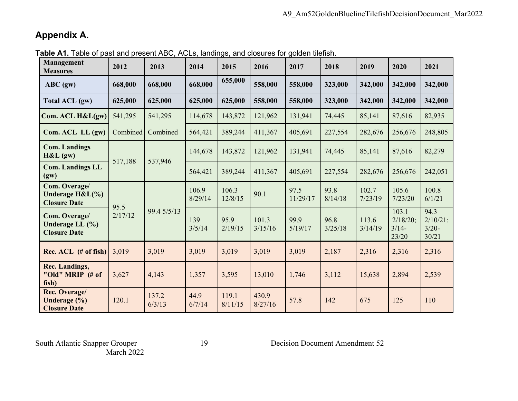## **Appendix A.**

| Management<br><b>Measures</b>                              | 2012     | 2013                | 2014             | 2015             | 2016             | 2017             | 2018            | 2019             | 2020                                  | 2021                                     |
|------------------------------------------------------------|----------|---------------------|------------------|------------------|------------------|------------------|-----------------|------------------|---------------------------------------|------------------------------------------|
| $ABC$ (gw)                                                 | 668,000  | 668,000             | 668,000          | 655,000          | 558,000          | 558,000          | 323,000         | 342,000          | 342,000                               | 342,000                                  |
| <b>Total ACL (gw)</b>                                      | 625,000  | 625,000             | 625,000          | 625,000          | 558,000          | 558,000          | 323,000         | 342,000          | 342,000                               | 342,000                                  |
| Com. ACL H&L(gw)                                           | 541,295  | 541,295             | 114,678          | 143,872          | 121,962          | 131,941          | 74,445          | 85,141           | 87,616                                | 82,935                                   |
| Com. ACL LL (gw)                                           | Combined | Combined            | 564,421          | 389,244          | 411,367          | 405,691          | 227,554         | 282,676          | 256,676                               | 248,805                                  |
| <b>Com. Landings</b><br>H&L(gw)                            |          | 537,946             | 144,678          | 143,872          | 121,962          | 131,941          | 74,445          | 85,141           | 87,616                                | 82,279                                   |
| <b>Com. Landings LL</b><br>(gw)                            | 517,188  |                     | 564,421          | 389,244          | 411,367          | 405,691          | 227,554         | 282,676          | 256,676                               | 242,051                                  |
| Com. Overage/<br>Underage $H&L(\%)$<br><b>Closure Date</b> |          | 95.5<br>99.4 5/5/13 | 106.9<br>8/29/14 | 106.3<br>12/8/15 | 90.1             | 97.5<br>11/29/17 | 93.8<br>8/14/18 | 102.7<br>7/23/19 | 105.6<br>7/23/20                      | 100.8<br>6/1/21                          |
| Com. Overage/<br>Underage LL (%)<br><b>Closure Date</b>    | 2/17/12  |                     | 139<br>3/5/14    | 95.9<br>2/19/15  | 101.3<br>3/15/16 | 99.9<br>5/19/17  | 96.8<br>3/25/18 | 113.6<br>3/14/19 | 103.1<br>2/18/20;<br>$3/14-$<br>23/20 | 94.3<br>$2/10/21$ :<br>$3/20 -$<br>30/21 |
| $Rec. ACL$ (# of fish)                                     | 3,019    | 3,019               | 3,019            | 3,019            | 3,019            | 3,019            | 2,187           | 2,316            | 2,316                                 | 2,316                                    |
| <b>Rec. Landings,</b><br>"Old" MRIP (# of<br>fish)         | 3,627    | 4,143               | 1,357            | 3,595            | 13,010           | 1,746            | 3,112           | 15,638           | 2,894                                 | 2,539                                    |
| Rec. Overage/<br>Underage (%)<br><b>Closure Date</b>       | 120.1    | 137.2<br>6/3/13     | 44.9<br>6/7/14   | 119.1<br>8/11/15 | 430.9<br>8/27/16 | 57.8             | 142             | 675              | 125                                   | 110                                      |

**Table A1.** Table of past and present ABC, ACLs, landings, and closures for golden tilefish.

South Atlantic Snapper Grouper<br>March 2022

19 Decision Document Amendment 52